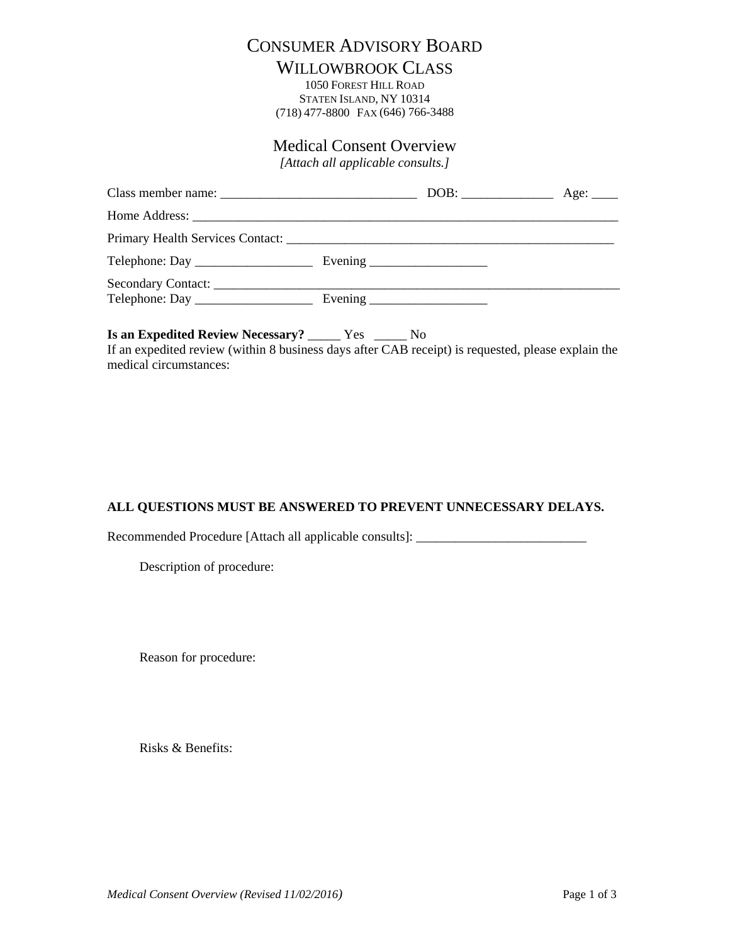## CONSUMER ADVISORY BOARD

## WILLOWBROOK CLASS

1050 FOREST HILL ROAD STATEN ISLAND, NY 10314 (718) 477-8800 FAX (646) 766-3488

## Medical Consent Overview

*[Attach all applicable consults.]* 

| Telephone: Day |  |  |
|----------------|--|--|

**Is an Expedited Review Necessary?** \_\_\_\_\_ Yes \_\_\_\_\_ No If an expedited review (within 8 business days after CAB receipt) is requested, please explain the medical circumstances:

## **ALL QUESTIONS MUST BE ANSWERED TO PREVENT UNNECESSARY DELAYS.**

Recommended Procedure [Attach all applicable consults]: \_\_\_\_\_\_\_\_\_\_\_\_\_\_\_\_\_\_\_\_\_\_\_\_\_

Description of procedure:

Reason for procedure:

Risks & Benefits: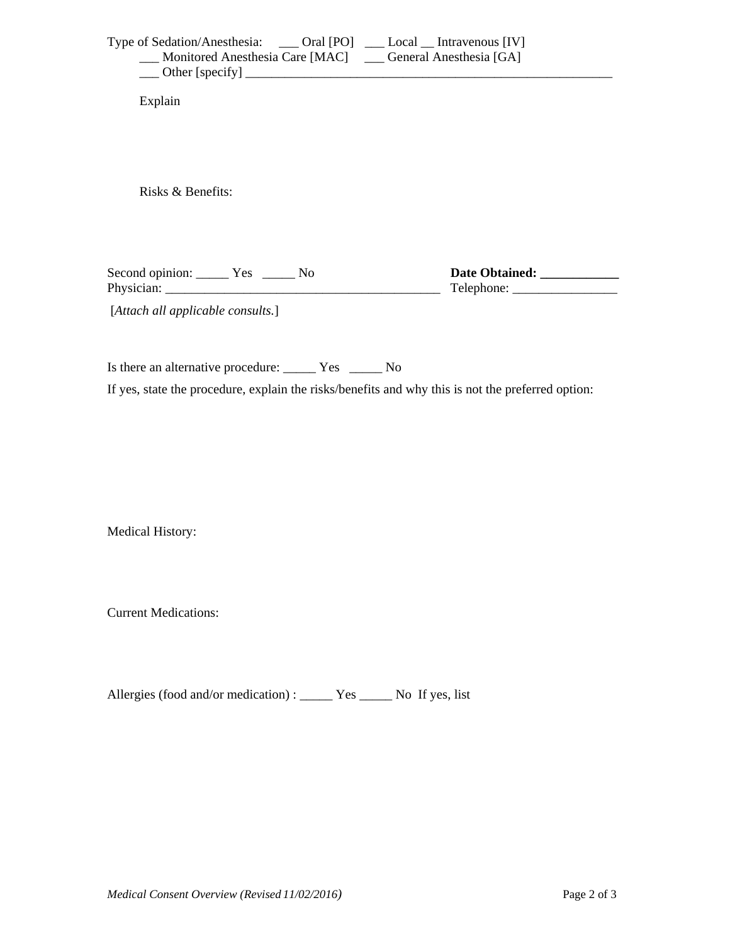| Type of Sedation/Anesthesia: ____ Oral [PO] ___ Local __ Intravenous [IV] | Monitored Anesthesia Care [MAC] ___ General Anesthesia [GA] |
|---------------------------------------------------------------------------|-------------------------------------------------------------|
| Explain                                                                   |                                                             |
| Risks & Benefits:                                                         |                                                             |
| Second opinion: ________ Yes _______ No                                   | Date Obtained:                                              |
| [Attach all applicable consults.]                                         |                                                             |

Is there an alternative procedure: \_\_\_\_\_\_ Yes \_\_\_\_\_\_ No

If yes, state the procedure, explain the risks/benefits and why this is not the preferred option:

Medical History:

**Current Medications:** 

Allergies (food and/or medication) : \_\_\_\_\_\_ Yes \_\_\_\_\_\_ No If yes, list